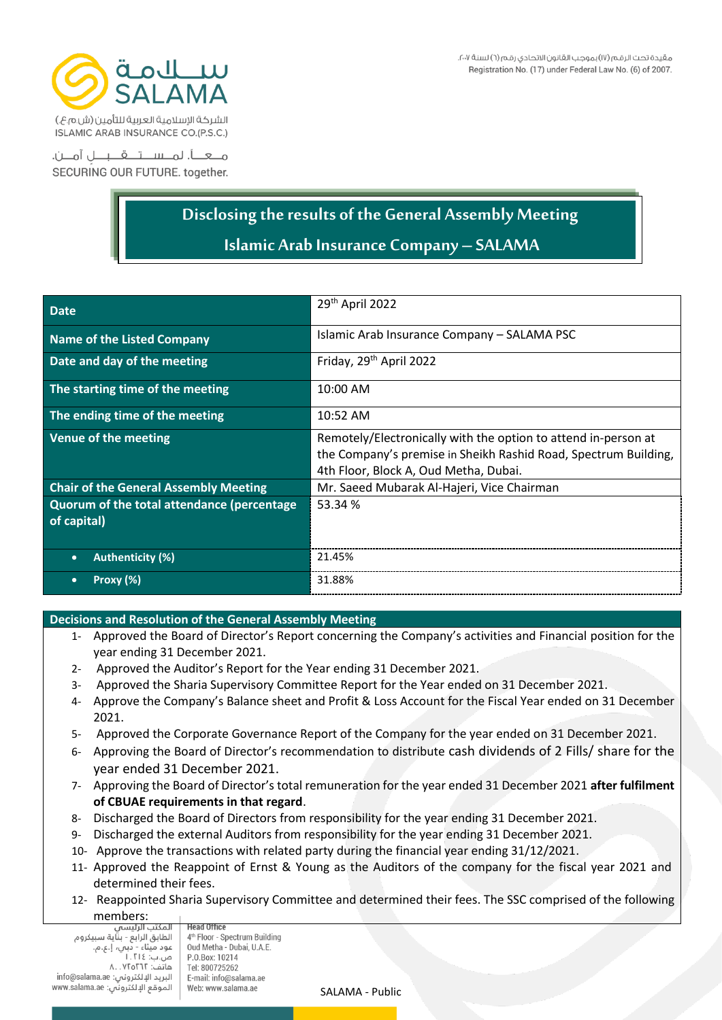

SECURING OUR FUTURE. together.

## **Disclosing the results of the General Assembly Meeting Islamic Arab Insurance Company – SALAMA**

| <b>Date</b>                                               | 29th April 2022                                                                                                                                                            |
|-----------------------------------------------------------|----------------------------------------------------------------------------------------------------------------------------------------------------------------------------|
| <b>Name of the Listed Company</b>                         | Islamic Arab Insurance Company - SALAMA PSC                                                                                                                                |
| Date and day of the meeting                               | Friday, 29 <sup>th</sup> April 2022                                                                                                                                        |
| The starting time of the meeting                          | 10:00 AM                                                                                                                                                                   |
| The ending time of the meeting                            | 10:52 AM                                                                                                                                                                   |
| Venue of the meeting                                      | Remotely/Electronically with the option to attend in-person at<br>the Company's premise in Sheikh Rashid Road, Spectrum Building,<br>4th Floor, Block A, Oud Metha, Dubai. |
| <b>Chair of the General Assembly Meeting</b>              | Mr. Saeed Mubarak Al-Hajeri, Vice Chairman                                                                                                                                 |
| Quorum of the total attendance (percentage<br>of capital) | 53.34 %                                                                                                                                                                    |
| <b>Authenticity (%)</b><br>$\bullet$                      | 21.45%                                                                                                                                                                     |
| Proxy $(\%)$<br>$\bullet$                                 | 31.88%                                                                                                                                                                     |

## **Decisions and Resolution of the General Assembly Meeting**

- 1- Approved the Board of Director's Report concerning the Company's activities and Financial position for the year ending 31 December 2021.
- 2- Approved the Auditor's Report for the Year ending 31 December 2021.
- 3- Approved the Sharia Supervisory Committee Report for the Year ended on 31 December 2021 .
- 4- Approve the Company's Balance sheet and Profit & Loss Account for the Fiscal Year ended on 31 December 2021.
- 5- Approved the Corporate Governance Report of the Company for the year ended on 31 December 2021 .
- 6- Approving the Board of Director's recommendation to distribute cash dividends of 2 Fills/ share for the year ended 31 December 2021.
- 7- Approving the Board of Director's total remuneration for the year ended 31 December 2021 **after fulfilment of CBUAE requirements in that regard**.
- 8- Discharged the Board of Directors from responsibility for the year ending 31 December 2021.
- 9- Discharged the external Auditors from responsibility for the year ending 31 December 2021 .
- 10- Approve the transactions with related party during the financial year ending 31/12/2021.
- 11- Approved the Reappoint of Ernst & Young as the Auditors of the company for the fiscal year 2021 and determined their fees.
- 12- Reappointed Sharia Supervisory Committee and determined their fees. The SSC comprised of the following members:

**Head Office** المنتنب الرئيسان<br>الطابق الرابع - بناية سبيكروم انصابق انزابع - بناية سبيد<br>عود ميثاء - دبني، إ.ع.م.<br>ص.ب: ١.٢١٤ P.O.Box: 10214 هاتف: ۸. .۷۲۵۲٦۲ Tel: 800725262 info@salama.ae :نص: info@salama.ae ......<br>الموقع الإلكتروني: www.salama.ae

4<sup>th</sup> Floor - Spectrum Building Oud Metha - Dubai, U.A.E. E-mail: info@salama.ae Web: www.salama.ae

SALAMA - Public